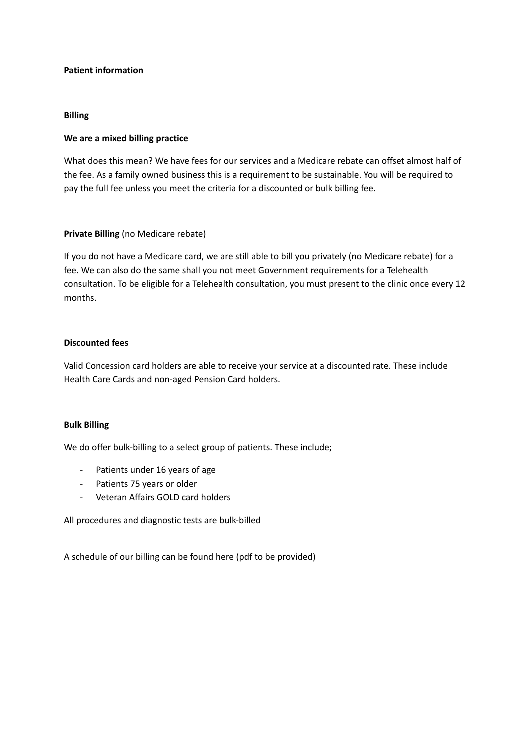#### **Patient information**

#### **Billing**

### **We are a mixed billing practice**

What does this mean? We have fees for our services and a Medicare rebate can offset almost half of the fee. As a family owned business this is a requirement to be sustainable. You will be required to pay the full fee unless you meet the criteria for a discounted or bulk billing fee.

#### **Private Billing** (no Medicare rebate)

If you do not have a Medicare card, we are still able to bill you privately (no Medicare rebate) for a fee. We can also do the same shall you not meet Government requirements for a Telehealth consultation. To be eligible for a Telehealth consultation, you must present to the clinic once every 12 months.

# **Discounted fees**

Valid Concession card holders are able to receive your service at a discounted rate. These include Health Care Cards and non-aged Pension Card holders.

#### **Bulk Billing**

We do offer bulk-billing to a select group of patients. These include;

- Patients under 16 years of age
- Patients 75 years or older
- Veteran Affairs GOLD card holders

All procedures and diagnostic tests are bulk-billed

A schedule of our billing can be found here (pdf to be provided)